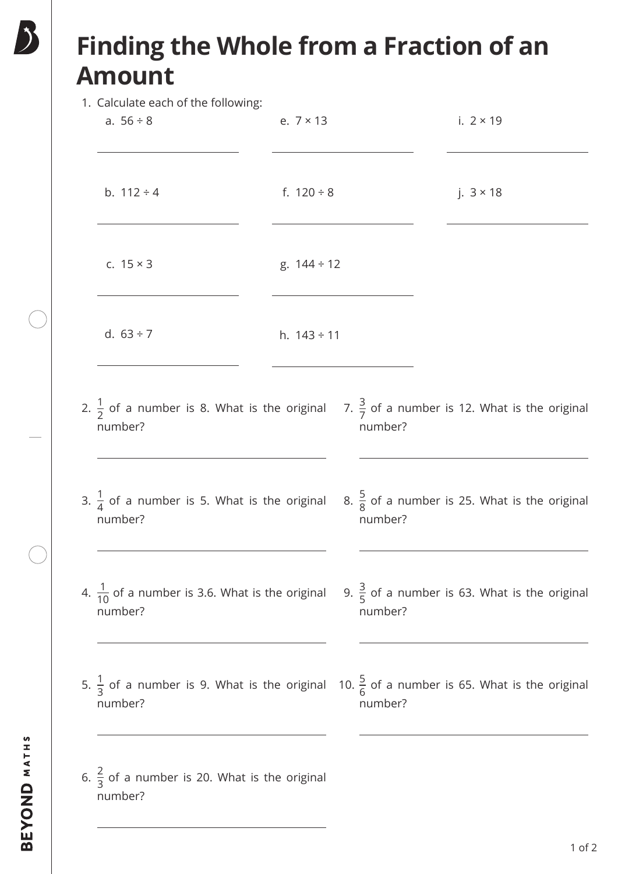## **Finding the Whole from a Fraction of an Amount**

1. Calculate each of the following:

| T. Calculate each of the following.                                                                                          |                                     |  |         |  |                                                          |  |  |
|------------------------------------------------------------------------------------------------------------------------------|-------------------------------------|--|---------|--|----------------------------------------------------------|--|--|
| a. $56 \div 8$                                                                                                               | e. $7 \times 13$                    |  |         |  | i. $2 \times 19$                                         |  |  |
| b. $112 \div 4$                                                                                                              | f. $120 \div 8$<br>g. $144 \div 12$ |  |         |  | j. $3 \times 18$                                         |  |  |
| c. $15 \times 3$                                                                                                             |                                     |  |         |  |                                                          |  |  |
| d. $63 \div 7$                                                                                                               | h. $143 \div 11$                    |  |         |  |                                                          |  |  |
| 2. $\frac{1}{2}$ of a number is 8. What is the original 7. $\frac{3}{7}$ of a number is 12. What is the original<br>number?  |                                     |  | number? |  |                                                          |  |  |
| 3. $\frac{1}{4}$ of a number is 5. What is the original<br>number?                                                           |                                     |  | number? |  | 8. $\frac{5}{8}$ of a number is 25. What is the original |  |  |
| 4. $\frac{1}{10}$ of a number is 3.6. What is the original<br>number?                                                        |                                     |  | number? |  | 9. $\frac{3}{5}$ of a number is 63. What is the original |  |  |
| 5. $\frac{1}{3}$ of a number is 9. What is the original 10. $\frac{5}{6}$ of a number is 65. What is the original<br>number? |                                     |  | number? |  |                                                          |  |  |
| 6. $\frac{2}{3}$ of a number is 20. What is the original<br>number?                                                          |                                     |  |         |  |                                                          |  |  |